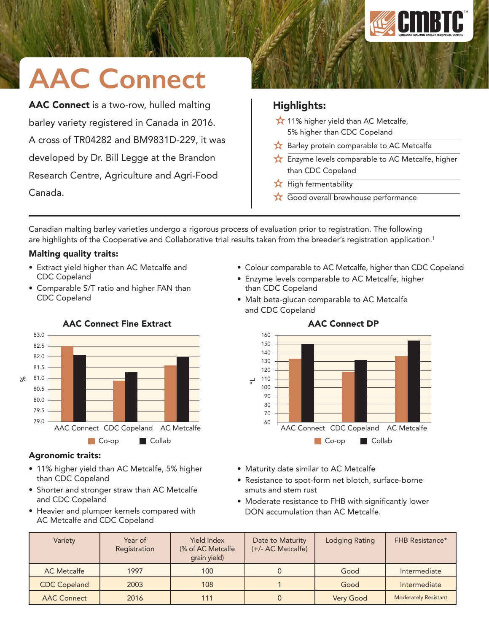

# **AAC Connect**

AAC Connect is a two-row, hulled malting barley variety registered in Canada in 2016. A cross of TR04282 and BM9831D-229, it was developed by Dr. Bill Legge at the Brandon Research Centre, Agriculture and Agri-Food Canada.

### Highlights:

- $\bigstar$  11% higher yield than AC Metcalfe, 5% higher than CDC Copeland
- Barley protein comparable to AC Metcalfe
- Enzyme levels comparable to AC Metcalfe, higher than CDC Copeland
- $\bigstar$  High fermentability
- Good overall brewhouse performance

Canadian malting barley varieties undergo a rigorous process of evaluation prior to registration. The following are highlights of the Cooperative and Collaborative trial results taken from the breeder's registration application.<sup>1</sup>

### Malting quality traits:

- Extract yield higher than AC Metcalfe and CDC Copeland
- Comparable S/T ratio and higher FAN than CDC Copeland



## AAC Connect Fine Extract

# Agronomic traits:

- 11% higher yield than AC Metcalfe, 5% higher than CDC Copeland
- Shorter and stronger straw than AC Metcalfe and CDC Copeland
- Heavier and plumper kernels compared with AC Metcalfe and CDC Copeland
- Colour comparable to AC Metcalfe, higher than CDC Copeland
- Enzyme levels comparable to AC Metcalfe, higher than CDC Copeland
- Malt beta-glucan comparable to AC Metcalfe and CDC Copeland



AAC Connect DP

- Maturity date similar to AC Metcalfe
- Resistance to spot-form net blotch, surface-borne smuts and stem rust
- Moderate resistance to FHB with significantly lower DON accumulation than AC Metcalfe.

| Variety             | Year of<br>Registration | <b>Yield Index</b><br>(% of AC Metcalfe)<br>grain yield) | Date to Maturity<br>(+/- AC Metcalfe) | <b>Lodging Rating</b> | <b>FHB Resistance*</b>      |
|---------------------|-------------------------|----------------------------------------------------------|---------------------------------------|-----------------------|-----------------------------|
| <b>AC</b> Metcalfe  | 1997                    | 100                                                      |                                       | Good                  | Intermediate                |
| <b>CDC Copeland</b> | 2003                    | 108                                                      |                                       | Good                  | Intermediate                |
| <b>AAC Connect</b>  | 2016                    | 111                                                      |                                       | Very Good             | <b>Moderately Resistant</b> |